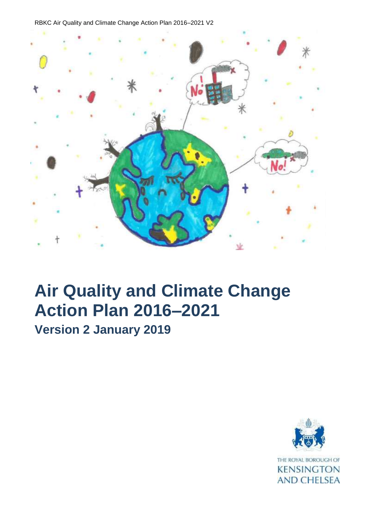RBKC Air Quality and Climate Change Action Plan 2016–2021 V2



# **Air Quality and Climate Change Action Plan 2016–2021**

**Version 2 January 2019**

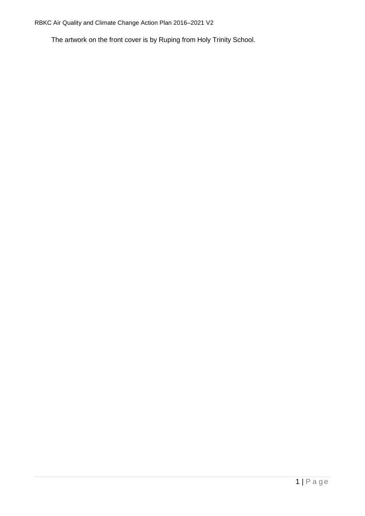The artwork on the front cover is by Ruping from Holy Trinity School.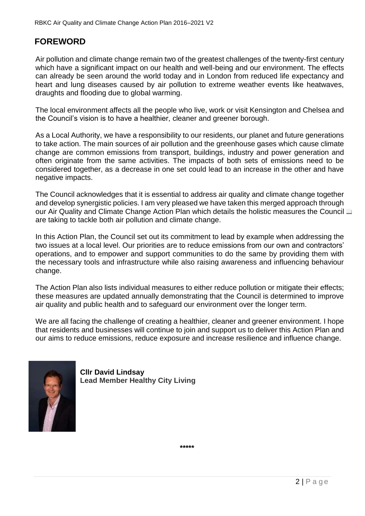#### **FOREWORD**

Air pollution and climate change remain two of the greatest challenges of the twenty-first century which have a significant impact on our health and well-being and our environment. The effects can already be seen around the world today and in London from reduced life expectancy and heart and lung diseases caused by air pollution to extreme weather events like heatwaves, draughts and flooding due to global warming.

The local environment affects all the people who live, work or visit Kensington and Chelsea and the Council's vision is to have a healthier, cleaner and greener borough.

As a Local Authority, we have a responsibility to our residents, our planet and future generations to take action. The main sources of air pollution and the greenhouse gases which cause climate change are common emissions from transport, buildings, industry and power generation and often originate from the same activities. The impacts of both sets of emissions need to be considered together, as a decrease in one set could lead to an increase in the other and have negative impacts.

The Council acknowledges that it is essential to address air quality and climate change together and develop synergistic policies. I am very pleased we have taken this merged approach through our Air Quality and Climate Change Action Plan which details the holistic measures the Council are taking to tackle both air pollution and climate change.

In this Action Plan, the Council set out its commitment to lead by example when addressing the two issues at a local level. Our priorities are to reduce emissions from our own and contractors' operations, and to empower and support communities to do the same by providing them with the necessary tools and infrastructure while also raising awareness and influencing behaviour change.

The Action Plan also lists individual measures to either reduce pollution or mitigate their effects; these measures are updated annually demonstrating that the Council is determined to improve air quality and public health and to safeguard our environment over the longer term.

We are all facing the challenge of creating a healthier, cleaner and greener environment. I hope that residents and businesses will continue to join and support us to deliver this Action Plan and our aims to reduce emissions, reduce exposure and increase resilience and influence change.



**Cllr David Lindsay Lead Member Healthy City Living**

**\*\*\*\*\***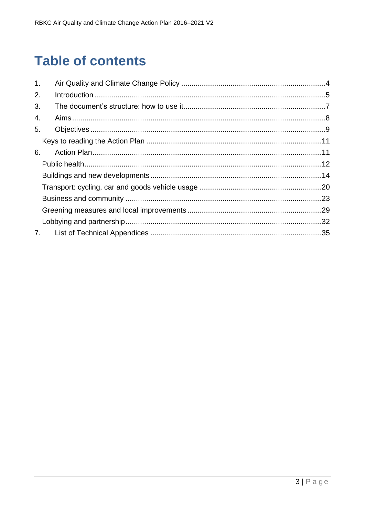## **Table of contents**

| $\mathbf 1$ .  |  |
|----------------|--|
| 2.             |  |
| 3.             |  |
| 4.             |  |
| 5.             |  |
|                |  |
| 6.             |  |
|                |  |
|                |  |
|                |  |
|                |  |
|                |  |
|                |  |
| 7 <sub>1</sub> |  |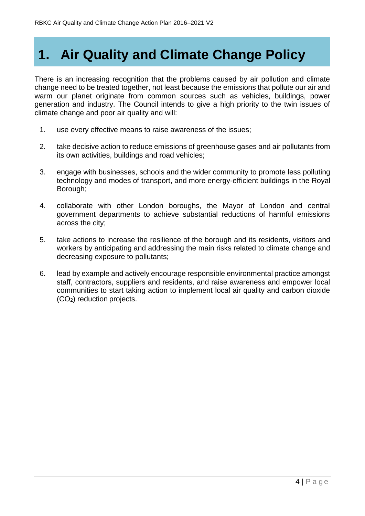## **1. Air Quality and Climate Change Policy**

There is an increasing recognition that the problems caused by air pollution and climate change and the tracted together pet legations the emission that pollute our pirand change need to be treated together, not least because the emissions that pollute our air and warm our planet originate from common sources such as vehicles, buildings, power generation and industry. The Council intends to give a high priority to the twin issues of climate change and poor air quality and will:

- 1. use every effective means to raise awareness of the issues;
- 2. take decisive action to reduce emissions of greenhouse gases and air pollutants from its own activities, buildings and road vehicles;
- 3. engage with businesses, schools and the wider community to promote less polluting technology and modes of transport, and more energy-efficient buildings in the Royal Borough;
- 4. collaborate with other London boroughs, the Mayor of London and central government departments to achieve substantial reductions of harmful emissions across the city;
- 5. take actions to increase the resilience of the borough and its residents, visitors and workers by anticipating and addressing the main risks related to climate change and decreasing exposure to pollutants;
- 6. lead by example and actively encourage responsible environmental practice amongst staff, contractors, suppliers and residents, and raise awareness and empower local communities to start taking action to implement local air quality and carbon dioxide (CO2) reduction projects.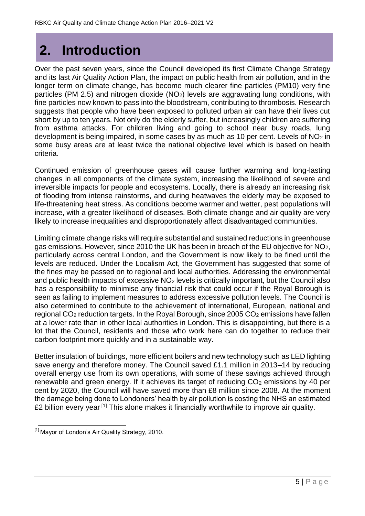## **2. Introduction**

Over the past seven years, since the Council developed its first Climate Change Strategy and its last Air Quality Action Plan, the impact on public health from air pollution, and in the longer term on climate change, has become much clearer fine particles (PM10) very fine particles (PM 2.5) and nitrogen dioxide (NO<sub>2</sub>) levels are aggravating lung conditions, with fine particles now known to pass into the bloodstream, contributing to thrombosis. Research suggests that people who have been exposed to polluted urban air can have their lives cut short by up to ten years. Not only do the elderly suffer, but increasingly children are suffering from asthma attacks. For children living and going to school near busy roads, lung development is being impaired, in some cases by as much as 10 per cent. Levels of  $NO<sub>2</sub>$  in some busy areas are at least twice the national objective level which is based on health criteria.

Continued emission of greenhouse gases will cause further warming and long-lasting changes in all components of the climate system, increasing the likelihood of severe and irreversible impacts for people and ecosystems. Locally, there is already an increasing risk of flooding from intense rainstorms, and during heatwaves the elderly may be exposed to life-threatening heat stress. As conditions become warmer and wetter, pest populations will increase, with a greater likelihood of diseases. Both climate change and air quality are very likely to increase inequalities and disproportionately affect disadvantaged communities.

Limiting climate change risks will require substantial and sustained reductions in greenhouse gas emissions. However, since 2010 the UK has been in breach of the EU objective for NO2, particularly across central London, and the Government is now likely to be fined until the levels are reduced. Under the Localism Act, the Government has suggested that some of the fines may be passed on to regional and local authorities. Addressing the environmental and public health impacts of excessive NO<sup>2</sup> levels is critically important, but the Council also has a responsibility to minimise any financial risk that could occur if the Royal Borough is seen as failing to implement measures to address excessive pollution levels. The Council is also determined to contribute to the achievement of international, European, national and regional  $CO<sub>2</sub>$  reduction targets. In the Royal Borough, since 2005  $CO<sub>2</sub>$  emissions have fallen at a lower rate than in other local authorities in London. This is disappointing, but there is a lot that the Council, residents and those who work here can do together to reduce their carbon footprint more quickly and in a sustainable way.

Better insulation of buildings, more efficient boilers and new technology such as LED lighting save energy and therefore money. The Council saved £1.1 million in 2013–14 by reducing overall energy use from its own operations, with some of these savings achieved through renewable and green energy. If it achieves its target of reducing  $CO<sub>2</sub>$  emissions by 40 per cent by 2020, the Council will have saved more than £8 million since 2008. At the moment the damage being done to Londoners' health by air pollution is costing the NHS an estimated £2 billion every year <sup>[1]</sup> This alone makes it financially worthwhile to improve air quality.

 $[1]$  Mayor of London's Air Quality Strategy, 2010.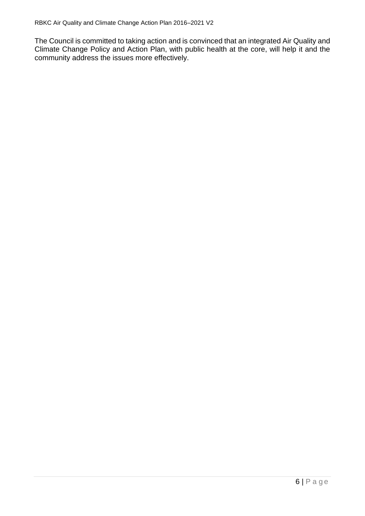The Council is committed to taking action and is convinced that an integrated Air Quality and Climate Change Policy and Action Plan, with public health at the core, will help it and the community address the issues more effectively.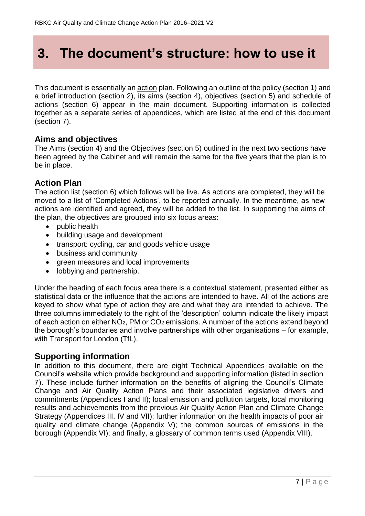### **3. The document's structure: how to use it**

This document is essentially an action plan. Following an outline of the policy (section 1) and a brief introduction (section 2), its aims (section 4), objectives (section 5) and schedule of actions (section 6) appear in the main document. Supporting information is collected together as a separate series of appendices, which are listed at the end of this document (section 7).

#### **Aims and objectives**

The Aims (section 4) and the Objectives (section 5) outlined in the next two sections have been agreed by the Cabinet and will remain the same for the five years that the plan is to be in place.

#### **Action Plan**

The action list (section 6) which follows will be live. As actions are completed, they will be moved to a list of 'Completed Actions', to be reported annually. In the meantime, as new actions are identified and agreed, they will be added to the list. In supporting the aims of the plan, the objectives are grouped into six focus areas:

- public health
- building usage and development
- transport: cycling, car and goods vehicle usage
- business and community
- green measures and local improvements
- lobbying and partnership.

Under the heading of each focus area there is a contextual statement, presented either as statistical data or the influence that the actions are intended to have. All of the actions are keyed to show what type of action they are and what they are intended to achieve. The three columns immediately to the right of the 'description' column indicate the likely impact of each action on either NO<sub>2</sub>, PM or CO<sub>2</sub> emissions. A number of the actions extend beyond the borough's boundaries and involve partnerships with other organisations – for example, with Transport for London (TfL).

#### **Supporting information**

In addition to this document, there are eight Technical Appendices available on the Council's website which provide background and supporting information (listed in section 7). These include further information on the benefits of aligning the Council's Climate Change and Air Quality Action Plans and their associated legislative drivers and commitments (Appendices I and II); local emission and pollution targets, local monitoring results and achievements from the previous Air Quality Action Plan and Climate Change Strategy (Appendices III, IV and VII); further information on the health impacts of poor air quality and climate change (Appendix V); the common sources of emissions in the borough (Appendix VI); and finally, a glossary of common terms used (Appendix VIII).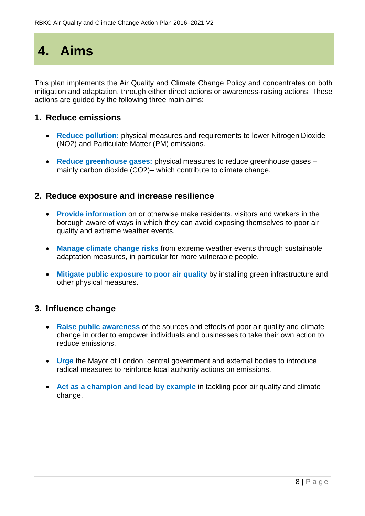## **4. Aims**

This plan implements the Air Quality and Climate Change Policy and concentrates on both mitigation and adaptation, through either direct actions or awareness-raising actions. These actions are guided by the following three main aims:

#### **1. Reduce emissions**

- **Reduce pollution:** physical measures and requirements to lower Nitrogen Dioxide (NO2) and Particulate Matter (PM) emissions.
- **Reduce greenhouse gases:** physical measures to reduce greenhouse gases mainly carbon dioxide (CO2)– which contribute to climate change.

#### **2. Reduce exposure and increase resilience**

- **Provide information** on or otherwise make residents, visitors and workers in the borough aware of ways in which they can avoid exposing themselves to poor air quality and extreme weather events.
- **Manage climate change risks** from extreme weather events through sustainable adaptation measures, in particular for more vulnerable people.
- **Mitigate public exposure to poor air quality** by installing green infrastructure and other physical measures.

#### **3. Influence change**

- **Raise public awareness** of the sources and effects of poor air quality and climate change in order to empower individuals and businesses to take their own action to reduce emissions.
- **Urge** the Mayor of London, central government and external bodies to introduce radical measures to reinforce local authority actions on emissions.
- **Act as a champion and lead by example** in tackling poor air quality and climate change.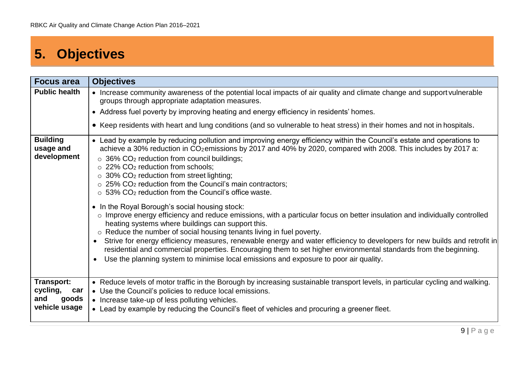## **5. Objectives**

| <b>Focus area</b>                                                     | <b>Objectives</b>                                                                                                                                                                                                                                                                                                                                                                                                                                                                                                                                                                                                                                                                                                                                                                                                                                                                                                                                                                                                                                                                                                                                                                                                                                           |
|-----------------------------------------------------------------------|-------------------------------------------------------------------------------------------------------------------------------------------------------------------------------------------------------------------------------------------------------------------------------------------------------------------------------------------------------------------------------------------------------------------------------------------------------------------------------------------------------------------------------------------------------------------------------------------------------------------------------------------------------------------------------------------------------------------------------------------------------------------------------------------------------------------------------------------------------------------------------------------------------------------------------------------------------------------------------------------------------------------------------------------------------------------------------------------------------------------------------------------------------------------------------------------------------------------------------------------------------------|
| <b>Public health</b>                                                  | • Increase community awareness of the potential local impacts of air quality and climate change and support vulnerable<br>groups through appropriate adaptation measures.                                                                                                                                                                                                                                                                                                                                                                                                                                                                                                                                                                                                                                                                                                                                                                                                                                                                                                                                                                                                                                                                                   |
|                                                                       | • Address fuel poverty by improving heating and energy efficiency in residents' homes.                                                                                                                                                                                                                                                                                                                                                                                                                                                                                                                                                                                                                                                                                                                                                                                                                                                                                                                                                                                                                                                                                                                                                                      |
|                                                                       | • Keep residents with heart and lung conditions (and so vulnerable to heat stress) in their homes and not in hospitals.                                                                                                                                                                                                                                                                                                                                                                                                                                                                                                                                                                                                                                                                                                                                                                                                                                                                                                                                                                                                                                                                                                                                     |
| <b>Building</b><br>usage and<br>development                           | • Lead by example by reducing pollution and improving energy efficiency within the Council's estate and operations to<br>achieve a 30% reduction in CO <sub>2</sub> emissions by 2017 and 40% by 2020, compared with 2008. This includes by 2017 a:<br>$\circ$ 36% CO <sub>2</sub> reduction from council buildings;<br>$\circ$ 22% CO <sub>2</sub> reduction from schools;<br>$\circ$ 30% CO <sub>2</sub> reduction from street lighting;<br>$\circ$ 25% CO <sub>2</sub> reduction from the Council's main contractors;<br>$\circ$ 53% CO <sub>2</sub> reduction from the Council's office waste.<br>• In the Royal Borough's social housing stock:<br>o Improve energy efficiency and reduce emissions, with a particular focus on better insulation and individually controlled<br>heating systems where buildings can support this.<br>o Reduce the number of social housing tenants living in fuel poverty.<br>Strive for energy efficiency measures, renewable energy and water efficiency to developers for new builds and retrofit in<br>residential and commercial properties. Encouraging them to set higher environmental standards from the beginning.<br>Use the planning system to minimise local emissions and exposure to poor air quality. |
| <b>Transport:</b><br>cycling,<br>car<br>and<br>goods<br>vehicle usage | • Reduce levels of motor traffic in the Borough by increasing sustainable transport levels, in particular cycling and walking.<br>• Use the Council's policies to reduce local emissions.<br>• Increase take-up of less polluting vehicles.<br>• Lead by example by reducing the Council's fleet of vehicles and procuring a greener fleet.                                                                                                                                                                                                                                                                                                                                                                                                                                                                                                                                                                                                                                                                                                                                                                                                                                                                                                                 |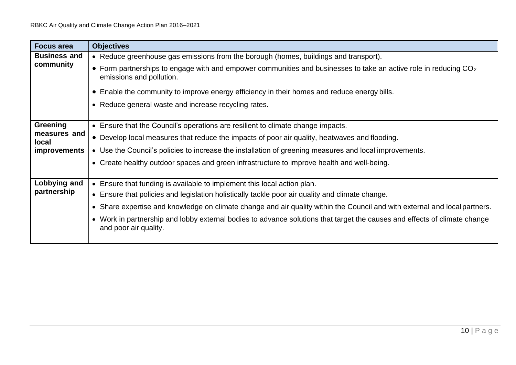| <b>Focus area</b>            | <b>Objectives</b>                                                                                                                                        |  |  |  |  |  |  |
|------------------------------|----------------------------------------------------------------------------------------------------------------------------------------------------------|--|--|--|--|--|--|
| <b>Business and</b>          | • Reduce greenhouse gas emissions from the borough (homes, buildings and transport).                                                                     |  |  |  |  |  |  |
| community                    | • Form partnerships to engage with and empower communities and businesses to take an active role in reducing CO <sub>2</sub><br>emissions and pollution. |  |  |  |  |  |  |
|                              | • Enable the community to improve energy efficiency in their homes and reduce energy bills.                                                              |  |  |  |  |  |  |
|                              | • Reduce general waste and increase recycling rates.                                                                                                     |  |  |  |  |  |  |
|                              |                                                                                                                                                          |  |  |  |  |  |  |
| Greening                     | • Ensure that the Council's operations are resilient to climate change impacts.                                                                          |  |  |  |  |  |  |
| measures and<br><b>local</b> | • Develop local measures that reduce the impacts of poor air quality, heatwaves and flooding.                                                            |  |  |  |  |  |  |
| <i>improvements</i>          | • Use the Council's policies to increase the installation of greening measures and local improvements.                                                   |  |  |  |  |  |  |
|                              | • Create healthy outdoor spaces and green infrastructure to improve health and well-being.                                                               |  |  |  |  |  |  |
|                              |                                                                                                                                                          |  |  |  |  |  |  |
| Lobbying and                 | • Ensure that funding is available to implement this local action plan.                                                                                  |  |  |  |  |  |  |
| partnership                  | • Ensure that policies and legislation holistically tackle poor air quality and climate change.                                                          |  |  |  |  |  |  |
|                              | • Share expertise and knowledge on climate change and air quality within the Council and with external and local partners.                               |  |  |  |  |  |  |
|                              | • Work in partnership and lobby external bodies to advance solutions that target the causes and effects of climate change<br>and poor air quality.       |  |  |  |  |  |  |
|                              |                                                                                                                                                          |  |  |  |  |  |  |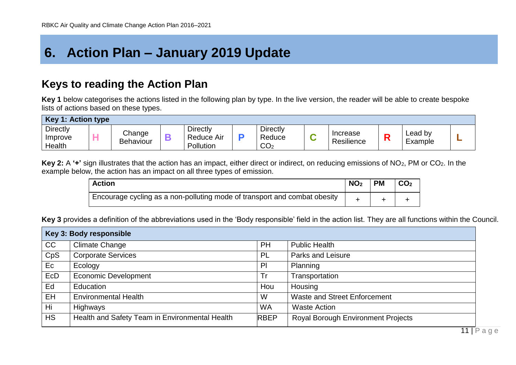## **6. Action Plan – January 2019 Update**

### **Keys to reading the Action Plan**

Key 1 below categorises the actions listed in the following plan by type. In the live version, the reader will be able to create bespoke lists of actions based on these types.

| Key 1: Action type                   |  |                     |  |                                            |  |                                       |  |                        |  |                                                          |  |
|--------------------------------------|--|---------------------|--|--------------------------------------------|--|---------------------------------------|--|------------------------|--|----------------------------------------------------------|--|
| <b>Directly</b><br>Improve<br>Health |  | Change<br>Behaviour |  | Directly<br><b>Reduce Air</b><br>Pollution |  | Directly<br>Reduce<br>CO <sub>2</sub> |  | Increase<br>Resilience |  | $\textcolor{red}{\textsf{\small{Lead}}\,}$ by<br>Example |  |

**Key 2:** A **'+'** sign illustrates that the action has an impact, either direct or indirect, on reducing emissions of NO2, PM or CO2. In the example below, the action has an impact on all three types of emission.

| <b>Action</b>                                                             | NO <sub>2</sub> | <b>PM</b> | CO <sub>2</sub> |
|---------------------------------------------------------------------------|-----------------|-----------|-----------------|
| Encourage cycling as a non-polluting mode of transport and combat obesity |                 |           |                 |

**Key 3** provides a definition of the abbreviations used in the 'Body responsible' field in the action list. They are all functions within the Council.

<span id="page-11-0"></span>

|           | Key 3: Body responsible                        |             |                                           |  |  |  |  |  |  |  |
|-----------|------------------------------------------------|-------------|-------------------------------------------|--|--|--|--|--|--|--|
| CC        | <b>Climate Change</b>                          | <b>PH</b>   | <b>Public Health</b>                      |  |  |  |  |  |  |  |
| CpS       | <b>Corporate Services</b>                      | PL          | <b>Parks and Leisure</b>                  |  |  |  |  |  |  |  |
| Ec        | Ecology                                        | PI          | Planning                                  |  |  |  |  |  |  |  |
| EcD       | <b>Economic Development</b>                    | Tr          | Transportation                            |  |  |  |  |  |  |  |
| Ed        | Education                                      | Hou         | Housing                                   |  |  |  |  |  |  |  |
| <b>EH</b> | <b>Environmental Health</b>                    | W           | <b>Waste and Street Enforcement</b>       |  |  |  |  |  |  |  |
| Hi        | <b>Highways</b>                                | <b>WA</b>   | <b>Waste Action</b>                       |  |  |  |  |  |  |  |
| <b>HS</b> | Health and Safety Team in Environmental Health | <b>RBEP</b> | <b>Royal Borough Environment Projects</b> |  |  |  |  |  |  |  |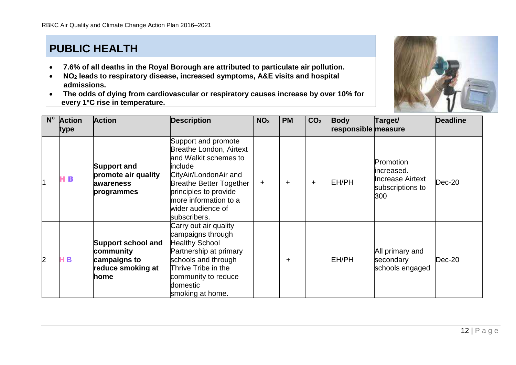### **PUBLIC HEALTH**

- **7.6% of all deaths in the Royal Borough are attributed to particulate air pollution.**
- **NO<sup>2</sup> leads to respiratory disease, increased symptoms, A&E visits and hospital admissions.**
- **The odds of dying from cardiovascular or respiratory causes increase by over 10% for every 1ºC rise in temperature.**



<span id="page-12-0"></span>

| $N^{\circ}$    | <b>Action</b><br>type | <b>Action</b>                                                                       | <b>Description</b>                                                                                                                                                                                                                           | NO <sub>2</sub> | <b>PM</b> | CO <sub>2</sub> | <b>Body</b><br>responsible measure | Target/                                                                        | <b>Deadline</b> |
|----------------|-----------------------|-------------------------------------------------------------------------------------|----------------------------------------------------------------------------------------------------------------------------------------------------------------------------------------------------------------------------------------------|-----------------|-----------|-----------------|------------------------------------|--------------------------------------------------------------------------------|-----------------|
|                | H B                   | <b>Support and</b><br>promote air quality<br>awareness<br>programmes                | Support and promote<br>Breathe London, Airtext<br>and Walkit schemes to<br><b>linclude</b><br>CityAir/LondonAir and<br><b>Breathe Better Together</b><br>principles to provide<br>more information to a<br>wider audience of<br>subscribers. | $\pm$           | $\ddot{}$ | $\ddot{}$       | EH/PH                              | Promotion<br>lincreased.<br><b>Increase Airtext</b><br>subscriptions to<br>300 | $Dec-20$        |
| $\overline{2}$ | HВ                    | <b>Support school and</b><br>community<br>campaigns to<br>reduce smoking at<br>home | Carry out air quality<br>campaigns through<br><b>Healthy School</b><br>Partnership at primary<br>schools and through<br>Thrive Tribe in the<br>community to reduce<br>domestic<br>smoking at home.                                           |                 | $\ddot{}$ |                 | EH/PH                              | All primary and<br>secondary<br>schools engaged                                | $Dec-20$        |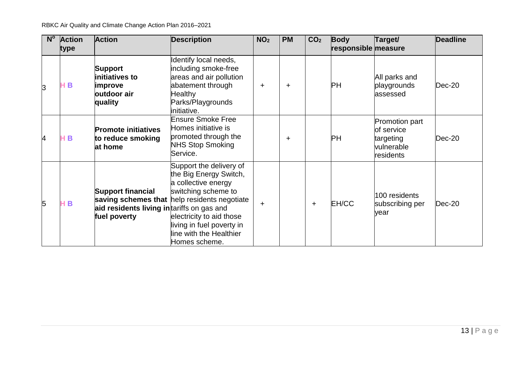| $N^{\circ}$ | <b>Action</b><br>type | <b>Action</b>                                                                          | <b>Description</b>                                                                                                                                                                                                                                   | NO <sub>2</sub> | <b>PM</b> | CO <sub>2</sub> | <b>Body</b><br>responsible measure | Target/                                                              | <b>Deadline</b> |
|-------------|-----------------------|----------------------------------------------------------------------------------------|------------------------------------------------------------------------------------------------------------------------------------------------------------------------------------------------------------------------------------------------------|-----------------|-----------|-----------------|------------------------------------|----------------------------------------------------------------------|-----------------|
| 3           | B                     | <b>Support</b><br>initiatives to<br>improve<br>outdoor air<br>quality                  | Identify local needs,<br>including smoke-free<br>areas and air pollution<br>abatement through<br><b>Healthy</b><br>Parks/Playgrounds<br>initiative.                                                                                                  | $+$             | $\ddot{}$ |                 | PH                                 | All parks and<br>playgrounds<br>assessed                             | $Dec-20$        |
| 4           | B                     | <b>Promote initiatives</b><br>to reduce smoking<br>at home                             | Ensure Smoke Free<br>Homes initiative is<br>promoted through the<br><b>NHS Stop Smoking</b><br>Service.                                                                                                                                              |                 | $\ddot{}$ |                 | PН                                 | Promotion part<br>of service<br>targeting<br>vulnerable<br>residents | $Dec-20$        |
| 5           | B                     | <b>Support financial</b><br>aid residents living in tariffs on gas and<br>fuel poverty | Support the delivery of<br>the Big Energy Switch,<br>a collective energy<br>switching scheme to<br>saving schemes that help residents negotiate<br>electricity to aid those<br>living in fuel poverty in<br>line with the Healthier<br>Homes scheme. | ÷               |           | $\pm$           | EH/CC                              | 100 residents<br>subscribing per<br>year                             | $Dec-20$        |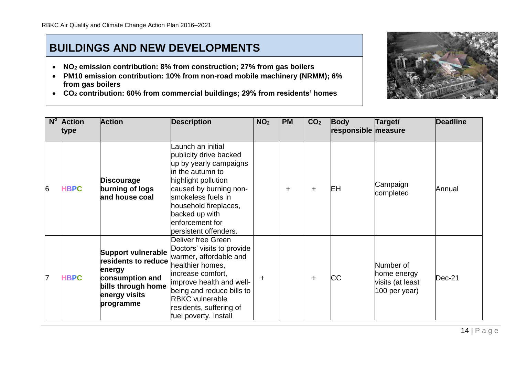### **BUILDINGS AND NEW DEVELOPMENTS**

- **NO<sup>2</sup> emission contribution: 8% from construction; 27% from gas boilers**
- **PM10 emission contribution: 10% from non-road mobile machinery (NRMM); 6% from gas boilers**
- **CO<sup>2</sup> contribution: 60% from commercial buildings; 29% from residents' homes**



<span id="page-14-0"></span>

| $N^{\circ}$ | <b>Action</b><br>type | <b>Action</b>                                                                                                                     | <b>Description</b>                                                                                                                                                                                                                                         | NO <sub>2</sub> | <b>PM</b> | CO <sub>2</sub> | <b>Body</b><br>responsible measure | Target/                                                       | <b>Deadline</b> |
|-------------|-----------------------|-----------------------------------------------------------------------------------------------------------------------------------|------------------------------------------------------------------------------------------------------------------------------------------------------------------------------------------------------------------------------------------------------------|-----------------|-----------|-----------------|------------------------------------|---------------------------------------------------------------|-----------------|
| 6           | <b>HBPC</b>           | <b>Discourage</b><br>burning of logs<br>and house coal                                                                            | aunch an initial<br>publicity drive backed<br>up by yearly campaigns<br>in the autumn to<br>highlight pollution<br>caused by burning non-<br>smokeless fuels in<br>household fireplaces,<br>backed up with<br>enforcement for<br>persistent offenders.     |                 | $\ddot{}$ | $\pm$           | EН                                 | Campaign<br>completed                                         | Annual          |
| 17          | <b>HBPC</b>           | <b>Support vulnerable</b><br>residents to reduce<br>energy<br>consumption and<br>bills through home<br>energy visits<br>programme | Deliver free Green<br>Doctors' visits to provide<br>warmer, affordable and<br>healthier homes,<br>increase comfort,<br>improve health and well-<br>being and reduce bills to<br><b>RBKC</b> vulnerable<br>residents, suffering of<br>fuel poverty. Install | $\ddot{}$       |           | $\pm$           | <b>CC</b>                          | Number of<br>home energy<br>visits (at least<br>100 per year) | Dec-21          |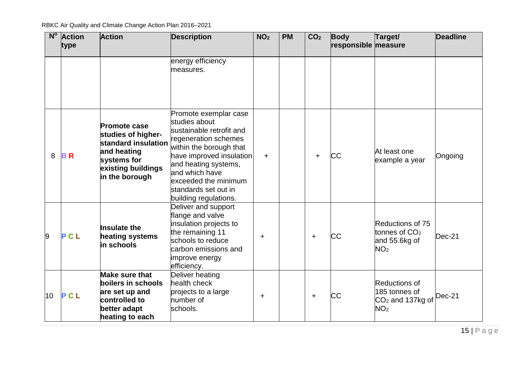RBKC Air Quality and Climate Change Action Plan 2016–2021

|    | N° Action  | <b>Action</b>                                                                                                                          | <b>Description</b>                                                                                                                                                                                                                                                   | NO <sub>2</sub> | <b>PM</b> | CO <sub>2</sub> | <b>Body</b>         | Target/                                                                           | <b>Deadline</b> |
|----|------------|----------------------------------------------------------------------------------------------------------------------------------------|----------------------------------------------------------------------------------------------------------------------------------------------------------------------------------------------------------------------------------------------------------------------|-----------------|-----------|-----------------|---------------------|-----------------------------------------------------------------------------------|-----------------|
|    | type       |                                                                                                                                        |                                                                                                                                                                                                                                                                      |                 |           |                 | responsible measure |                                                                                   |                 |
|    |            |                                                                                                                                        | energy efficiency<br>measures.                                                                                                                                                                                                                                       |                 |           |                 |                     |                                                                                   |                 |
| 8  | <b>BR</b>  | <b>Promote case</b><br>studies of higher-<br>standard insulation<br>and heating<br>systems for<br>existing buildings<br>in the borough | Promote exemplar case<br>studies about<br>sustainable retrofit and<br>regeneration schemes<br>within the borough that<br>have improved insulation<br>and heating systems,<br>and which have<br>exceeded the minimum<br>standards set out in<br>building regulations. | $\ddot{}$       |           | $\ddot{}$       | CC                  | At least one<br>example a year                                                    | Ongoing         |
| 9  | PCL        | <b>Insulate the</b><br>heating systems<br>in schools                                                                                   | Deliver and support<br>flange and valve<br>insulation projects to<br>the remaining 11<br>schools to reduce<br>carbon emissions and<br>improve energy<br>efficiency.                                                                                                  | +               |           | $\ddot{}$       | СC                  | Reductions of 75<br>tonnes of CO <sub>2</sub><br>and 55.6kg of<br>NO <sub>2</sub> | Dec-21          |
| 10 | <b>PCL</b> | <b>Make sure that</b><br>boilers in schools<br>are set up and<br><b>controlled to</b><br>better adapt<br>heating to each               | Deliver heating<br>health check<br>projects to a large<br>number of<br>schools.                                                                                                                                                                                      | $\ddot{}$       |           | ÷               | СC                  | Reductions of<br>185 tonnes of<br>$CO2$ and 137kg of<br>NO <sub>2</sub>           | Dec-21          |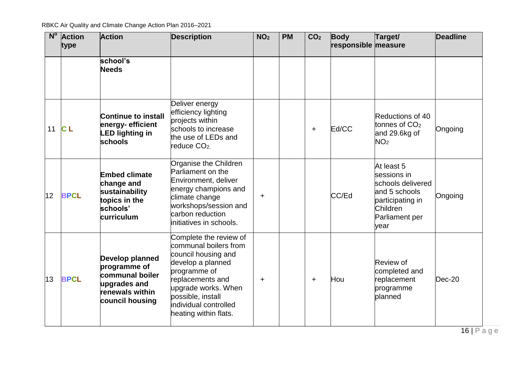|    | Nº Action<br>type | <b>Action</b>                                                                                            | <b>Description</b>                                                                                                                                                                                                            | NO <sub>2</sub> | <b>PM</b> | CO <sub>2</sub> | <b>Body</b><br>responsible measure | Target/                                                                                                                   | <b>Deadline</b> |
|----|-------------------|----------------------------------------------------------------------------------------------------------|-------------------------------------------------------------------------------------------------------------------------------------------------------------------------------------------------------------------------------|-----------------|-----------|-----------------|------------------------------------|---------------------------------------------------------------------------------------------------------------------------|-----------------|
|    |                   | school's<br><b>Needs</b>                                                                                 |                                                                                                                                                                                                                               |                 |           |                 |                                    |                                                                                                                           |                 |
| 11 | CL                | <b>Continue to install</b><br>energy-efficient<br><b>LED lighting in</b><br>schools                      | Deliver energy<br>efficiency lighting<br>projects within<br>schools to increase<br>the use of LEDs and<br>reduce CO <sub>2.</sub>                                                                                             |                 |           | $+$             | Ed/CC                              | Reductions of 40<br>tonnes of CO <sub>2</sub><br>and 29.6kg of<br>NO <sub>2</sub>                                         | Ongoing         |
| 12 | <b>BPCL</b>       | <b>Embed climate</b><br>change and<br>sustainability<br>topics in the<br>schools'<br>curriculum          | Organise the Children<br>Parliament on the<br>Environment, deliver<br>energy champions and<br>climate change<br>workshops/session and<br>carbon reduction<br>initiatives in schools.                                          | $\ddot{}$       |           |                 | CC/Ed                              | At least 5<br>sessions in<br>schools delivered<br>and 5 schools<br>participating in<br>Children<br>Parliament per<br>vear | Ongoing         |
| 13 | <b>BPCL</b>       | Develop planned<br>programme of<br>communal boiler<br>upgrades and<br>renewals within<br>council housing | Complete the review of<br>communal boilers from<br>council housing and<br>develop a planned<br>programme of<br>replacements and<br>upgrade works. When<br>possible, install<br>individual controlled<br>heating within flats. | $\ddot{}$       |           | $\ddot{}$       | Hou                                | Review of<br>completed and<br>replacement<br>programme<br>planned                                                         | $Dec-20$        |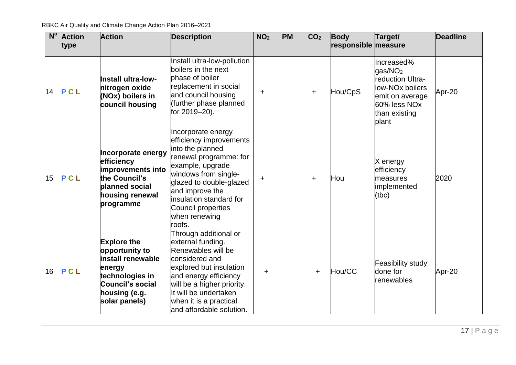RBKC Air Quality and Climate Change Action Plan 2016–2021

| $N^{\circ}$ | <b>Action</b><br>type | <b>Action</b>                                                                                                                                | <b>Description</b>                                                                                                                                                                                                                                                       | NO <sub>2</sub> | <b>PM</b> | CO <sub>2</sub> | <b>Body</b><br>responsible measure | Target/                                                                                                                                           | <b>Deadline</b> |
|-------------|-----------------------|----------------------------------------------------------------------------------------------------------------------------------------------|--------------------------------------------------------------------------------------------------------------------------------------------------------------------------------------------------------------------------------------------------------------------------|-----------------|-----------|-----------------|------------------------------------|---------------------------------------------------------------------------------------------------------------------------------------------------|-----------------|
| 14          | <b>PCL</b>            | Install ultra-low-<br>nitrogen oxide<br>(NOx) boilers in<br>council housing                                                                  | Install ultra-low-pollution<br>boilers in the next<br>phase of boiler<br>replacement in social<br>and council housing<br>(further phase planned<br>for 2019-20).                                                                                                         | $\ddot{}$       |           | $\ddot{}$       | Hou/CpS                            | Increased%<br>gas/NO <sub>2</sub><br>reduction Ultra-<br>low-NO <sub>x</sub> boilers<br>emit on average<br>60% less NOx<br>than existing<br>plant | Apr-20          |
| 15          | <b>PCL</b>            | Incorporate energy<br>efficiency<br>improvements into<br>the Council's<br>planned social<br>housing renewal<br>programme                     | Incorporate energy<br>efficiency improvements<br>into the planned<br>renewal programme: for<br>example, upgrade<br>windows from single-<br>glazed to double-glazed<br>and improve the<br>insulation standard for<br><b>Council properties</b><br>when renewing<br>roofs. | $\div$          |           | $\ddot{}$       | Hou                                | X energy<br>efficiency<br>measures<br>implemented<br>(tbc)                                                                                        | 2020            |
| 16          | <b>PCL</b>            | <b>Explore the</b><br>opportunity to<br>install renewable<br>energy<br>technologies in<br>Council's social<br>housing (e.g.<br>solar panels) | Through additional or<br>external funding.<br>Renewables will be<br>considered and<br>explored but insulation<br>and energy efficiency<br>will be a higher priority.<br>It will be undertaken<br>when it is a practical<br>and affordable solution.                      | $\ddot{}$       |           | $\pm$           | Hou/CC                             | Feasibility study<br>done for<br>renewables                                                                                                       | Apr-20          |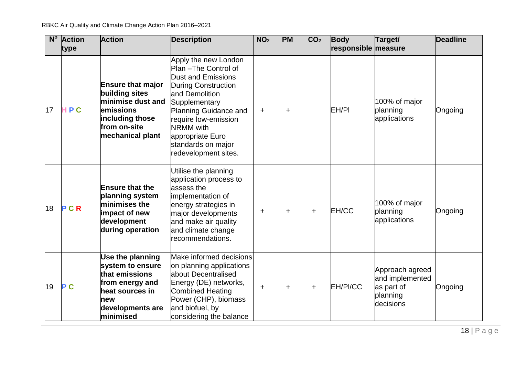| N <sup>o</sup> | <b>Action</b> | <b>Action</b>                                                                                                                        | <b>Description</b>                                                                                                                                                                                                                                                               | NO <sub>2</sub> | <b>PM</b> | CO <sub>2</sub> | <b>Body</b>         | Target/                                                                   | <b>Deadline</b> |
|----------------|---------------|--------------------------------------------------------------------------------------------------------------------------------------|----------------------------------------------------------------------------------------------------------------------------------------------------------------------------------------------------------------------------------------------------------------------------------|-----------------|-----------|-----------------|---------------------|---------------------------------------------------------------------------|-----------------|
|                | type          |                                                                                                                                      |                                                                                                                                                                                                                                                                                  |                 |           |                 | responsible measure |                                                                           |                 |
| 17             | HPC           | <b>Ensure that major</b><br>building sites<br>minimise dust and<br>emissions<br>including those<br>from on-site<br>mechanical plant  | Apply the new London<br>Plan-The Control of<br><b>Dust and Emissions</b><br>During Construction<br>and Demolition<br>Supplementary<br><b>Planning Guidance and</b><br>require low-emission<br><b>NRMM</b> with<br>appropriate Euro<br>standards on major<br>redevelopment sites. | $\ddot{}$       | $\ddot{}$ |                 | EH/PI               | 100% of major<br>planning<br>applications                                 | Ongoing         |
| 18             | <b>PCR</b>    | <b>Ensure that the</b><br>planning system<br>minimises the<br>impact of new<br>development<br>during operation                       | Utilise the planning<br>application process to<br>assess the<br>implementation of<br>energy strategies in<br>major developments<br>and make air quality<br>and climate change<br>recommendations.                                                                                | ÷               | $\pm$     | $\ddot{}$       | EH/CC               | 100% of major<br>planning<br>applications                                 | Ongoing         |
| 19             | P C           | Use the planning<br>system to ensure<br>that emissions<br>from energy and<br>heat sources in<br>new<br>developments are<br>minimised | Make informed decisions<br>on planning applications<br>about Decentralised<br>Energy (DE) networks,<br><b>Combined Heating</b><br>Power (CHP), biomass<br>and biofuel, by<br>considering the balance                                                                             | $\ddot{}$       | $\ddot{}$ | $\ddot{}$       | EH/PI/CC            | Approach agreed<br>and implemented<br>as part of<br>planning<br>decisions | Ongoing         |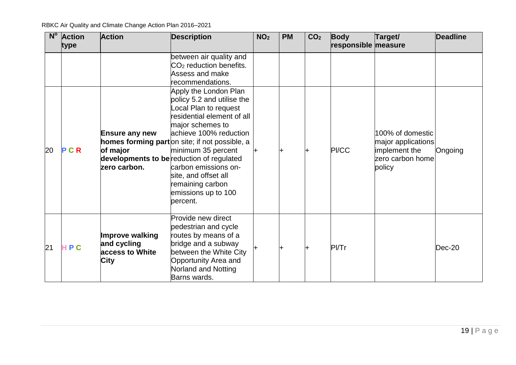RBKC Air Quality and Climate Change Action Plan 2016–2021

| $N^{\circ}$ | <b>Action</b><br>type | <b>Action</b>                                                    | <b>Description</b>                                                                                                                                                                                                                                                                                                                                                                  | NO <sub>2</sub> | <b>PM</b> | CO <sub>2</sub> | <b>Body</b><br>responsible measure | Target/                                                                               | <b>Deadline</b> |
|-------------|-----------------------|------------------------------------------------------------------|-------------------------------------------------------------------------------------------------------------------------------------------------------------------------------------------------------------------------------------------------------------------------------------------------------------------------------------------------------------------------------------|-----------------|-----------|-----------------|------------------------------------|---------------------------------------------------------------------------------------|-----------------|
|             |                       |                                                                  | between air quality and<br>CO <sub>2</sub> reduction benefits.<br>Assess and make<br>recommendations.                                                                                                                                                                                                                                                                               |                 |           |                 |                                    |                                                                                       |                 |
| 20          | <b>PCR</b>            | <b>Ensure any new</b><br>of major<br>zero carbon.                | Apply the London Plan<br>policy 5.2 and utilise the<br>Local Plan to request<br>residential element of all<br>major schemes to<br>achieve 100% reduction<br>homes forming parton site; if not possible, a<br>minimum 35 percent<br>developments to be reduction of regulated<br>carbon emissions on-<br>site, and offset all<br>remaining carbon<br>emissions up to 100<br>percent. |                 |           |                 | PI/CC                              | 100% of domestic<br>major applications<br>implement the<br>zero carbon home<br>policy | Ongoing         |
| 21          | HPC                   | Improve walking<br>and cycling<br>access to White<br><b>City</b> | Provide new direct<br>pedestrian and cycle<br>routes by means of a<br>bridge and a subway<br>between the White City<br>Opportunity Area and<br>Norland and Notting<br>Barns wards.                                                                                                                                                                                                  |                 | l+        |                 | Pl/Tr                              |                                                                                       | $Dec-20$        |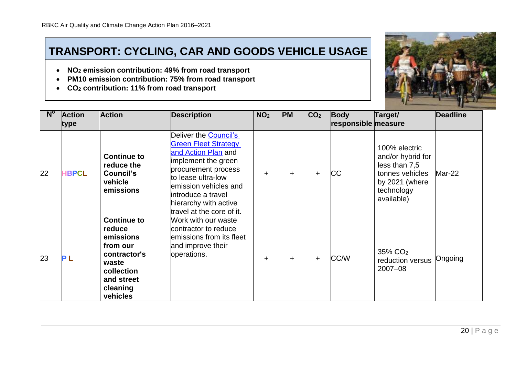### **TRANSPORT: CYCLING, CAR AND GOODS VEHICLE USAGE**

- **NO<sup>2</sup> emission contribution: 49% from road transport**
- **PM10 emission contribution: 75% from road transport**
- **CO<sup>2</sup> contribution: 11% from road transport**



<span id="page-20-0"></span>

| $N^{\circ}$ | <b>Action</b><br>type | <b>Action</b>                                                                                                                      | <b>Description</b>                                                                                                                                                                                                                                   | NO <sub>2</sub> | <b>PM</b> | CO <sub>2</sub> | <b>Body</b><br>responsible measure | Target/                                                                                                              | <b>Deadline</b> |
|-------------|-----------------------|------------------------------------------------------------------------------------------------------------------------------------|------------------------------------------------------------------------------------------------------------------------------------------------------------------------------------------------------------------------------------------------------|-----------------|-----------|-----------------|------------------------------------|----------------------------------------------------------------------------------------------------------------------|-----------------|
| 22          | <b>HBPCL</b>          | <b>Continue to</b><br>reduce the<br>Council's<br>vehicle<br>emissions                                                              | Deliver the Council's<br><b>Green Fleet Strategy</b><br>and Action Plan and<br>implement the green<br>procurement process<br>to lease ultra-low<br>emission vehicles and<br>introduce a travel<br>hierarchy with active<br>travel at the core of it. | $\ddot{}$       | $\ddot{}$ | $\pm$           | СC                                 | 100% electric<br>and/or hybrid for<br>less than 7,5<br>tonnes vehicles<br>by 2021 (where<br>technology<br>available) | Mar-22          |
| 23          |                       | <b>Continue to</b><br>reduce<br>emissions<br>from our<br>contractor's<br>waste<br>collection<br>and street<br>cleaning<br>vehicles | Work with our waste<br>contractor to reduce<br>emissions from its fleet<br>and improve their<br>operations.                                                                                                                                          | $\ddot{}$       | $\ddot{}$ | $\pm$           | <b>CC/W</b>                        | 35% CO <sub>2</sub><br>reduction versus<br>$2007 - 08$                                                               | Ongoing         |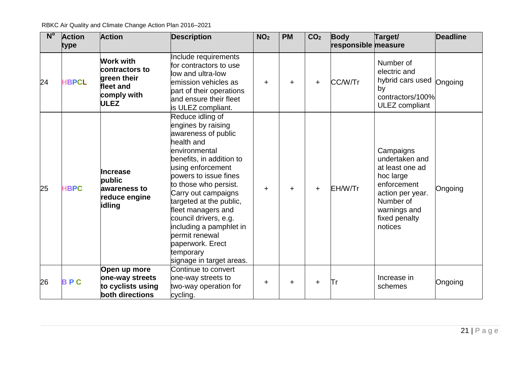RBKC Air Quality and Climate Change Action Plan 2016–2021

| N <sup>o</sup> | <b>Action</b><br>type | <b>Action</b>                                                                         | <b>Description</b>                                                                                                                                                                                                                                                                                                                                                                                         | NO <sub>2</sub> | <b>PM</b> | CO <sub>2</sub> | <b>Body</b><br>responsible measure | Target/                                                                                                                                                 | <b>Deadline</b> |
|----------------|-----------------------|---------------------------------------------------------------------------------------|------------------------------------------------------------------------------------------------------------------------------------------------------------------------------------------------------------------------------------------------------------------------------------------------------------------------------------------------------------------------------------------------------------|-----------------|-----------|-----------------|------------------------------------|---------------------------------------------------------------------------------------------------------------------------------------------------------|-----------------|
| 24             | <b>HBPCL</b>          | <b>Work with</b><br>contractors to<br>green their<br>fleet and<br>comply with<br>ULEZ | Include requirements<br>for contractors to use<br>low and ultra-low<br>emission vehicles as<br>part of their operations<br>and ensure their fleet<br>is ULEZ compliant.                                                                                                                                                                                                                                    | $\pm$           | $\pm$     | $\ddot{}$       | CC/W/Tr                            | Number of<br>electric and<br>hybrid cars used<br>by<br>contractors/100%<br><b>ULEZ</b> compliant                                                        | Ongoing         |
| 25             | <b>HBPC</b>           | <b>Increase</b><br>public<br>awareness to<br>reduce engine<br>idling                  | Reduce idling of<br>engines by raising<br>awareness of public<br>health and<br>environmental<br>benefits, in addition to<br>using enforcement<br>powers to issue fines<br>to those who persist.<br>Carry out campaigns<br>targeted at the public,<br>fleet managers and<br>council drivers, e.g.<br>including a pamphlet in<br>permit renewal<br>paperwork. Erect<br>temporary<br>signage in target areas. | $\pm$           | $\pm$     | ÷.              | EH/W/Tr                            | Campaigns<br>undertaken and<br>at least one ad<br>hoc large<br>enforcement<br>action per year.<br>Number of<br>warnings and<br>fixed penalty<br>notices | Ongoing         |
| 26             | <b>BPC</b>            | Open up more<br>one-way streets<br>to cyclists using                                  | Continue to convert<br>one-way streets to<br>two-way operation for                                                                                                                                                                                                                                                                                                                                         | ٠               | $\pm$     | ÷               | Tr                                 | Increase in<br>schemes                                                                                                                                  | Ongoing         |
|                |                       | both directions                                                                       | cycling.                                                                                                                                                                                                                                                                                                                                                                                                   |                 |           |                 |                                    |                                                                                                                                                         |                 |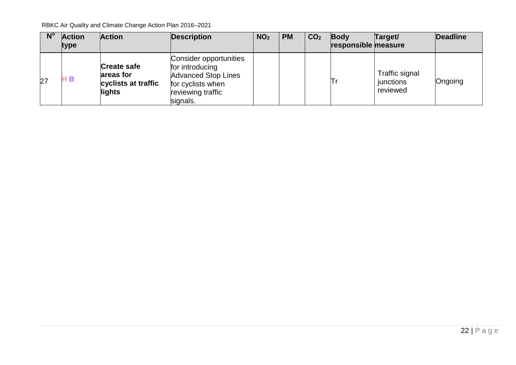RBKC Air Quality and Climate Change Action Plan 2016–2021

| $N^{\circ}$ | <b>Action</b><br>type | <b>Action</b>                                                    | <b>Description</b>                                                                                                            | NO <sub>2</sub> | <b>PM</b> | CO <sub>2</sub> | Body<br>responsible measure | Target/                                 | Deadline |
|-------------|-----------------------|------------------------------------------------------------------|-------------------------------------------------------------------------------------------------------------------------------|-----------------|-----------|-----------------|-----------------------------|-----------------------------------------|----------|
| 27          | 4 B                   | <b>Create safe</b><br>areas for<br>cyclists at traffic<br>lights | Consider opportunities<br>for introducing<br><b>Advanced Stop Lines</b><br>for cyclists when<br>reviewing traffic<br>signals. |                 |           |                 | l r                         | Traffic signal<br>junctions<br>reviewed | Ongoing  |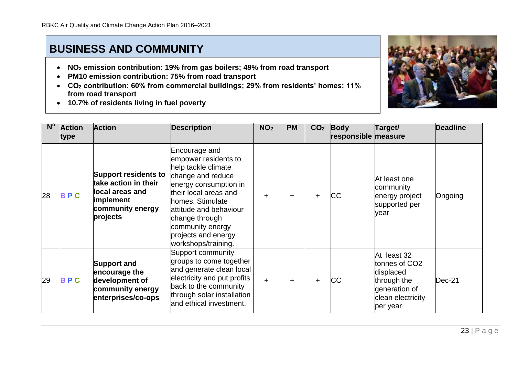### **BUSINESS AND COMMUNITY**

- **NO<sup>2</sup> emission contribution: 19% from gas boilers; 49% from road transport**
- **PM10 emission contribution: 75% from road transport**
- **CO<sup>2</sup> contribution: 60% from commercial buildings; 29% from residents' homes; 11% from road transport**
- **10.7% of residents living in fuel poverty**



<span id="page-23-0"></span>

| $N^{\circ}$ | <b>Action</b><br>type | <b>Action</b>                                                                                                       | <b>Description</b>                                                                                                                                                                                                                                                    | NO <sub>2</sub> | <b>PM</b> | CO <sub>2</sub> | <b>Body</b><br>responsible measure | Target/                                                                                                    | <b>Deadline</b> |
|-------------|-----------------------|---------------------------------------------------------------------------------------------------------------------|-----------------------------------------------------------------------------------------------------------------------------------------------------------------------------------------------------------------------------------------------------------------------|-----------------|-----------|-----------------|------------------------------------|------------------------------------------------------------------------------------------------------------|-----------------|
| 28          | BPC                   | <b>Support residents to</b><br>take action in their<br>local areas and<br>implement<br>community energy<br>projects | Encourage and<br>empower residents to<br>help tackle climate<br>change and reduce<br>energy consumption in<br>their local areas and<br>homes. Stimulate<br>attitude and behaviour<br>change through<br>community energy<br>projects and energy<br>workshops/training. | $\ddot{}$       | $\ddot{}$ | $\ddot{}$       | <b>CC</b>                          | At least one<br>community<br>energy project<br>supported per<br>year                                       | Ongoing         |
| 29          | BPC                   | <b>Support and</b><br>encourage the<br>development of<br>community energy<br>enterprises/co-ops                     | Support community<br>groups to come together<br>and generate clean local<br>electricity and put profits<br>back to the community<br>through solar installation<br>and ethical investment.                                                                             | $\ddot{}$       | $\ddot{}$ | $\ddot{}$       | CC                                 | At least 32<br>tonnes of CO2<br>displaced<br>through the<br>generation of<br>clean electricity<br>per year | $Dec-21$        |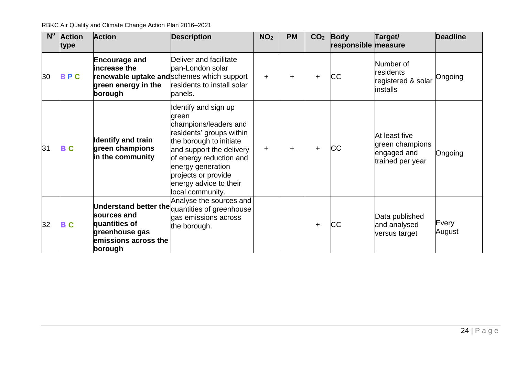RBKC Air Quality and Climate Change Action Plan 2016–2021

| $N^{\circ}$ | <b>Action</b><br>type | <b>Action</b>                                                                                              | <b>Description</b>                                                                                                                                                                                                                                             | NO <sub>2</sub> | <b>PM</b> | CO <sub>2</sub> | <b>Body</b><br>responsible measure | Target/                                                             | <b>Deadline</b> |
|-------------|-----------------------|------------------------------------------------------------------------------------------------------------|----------------------------------------------------------------------------------------------------------------------------------------------------------------------------------------------------------------------------------------------------------------|-----------------|-----------|-----------------|------------------------------------|---------------------------------------------------------------------|-----------------|
| 30          | <b>BPC</b>            | <b>Encourage and</b><br>increase the<br>green energy in the<br>borough                                     | Deliver and facilitate<br>pan-London solar<br>renewable uptake and schemes which support<br>residents to install solar<br>panels.                                                                                                                              | $\ddot{}$       | $\ddot{}$ | $\ddot{}$       | СC                                 | Number of<br>residents<br>registered & solar<br>installs            | Ongoing         |
| 31          | $\mathbf C$           | <b>Identify and train</b><br>green champions<br>in the community                                           | Identify and sign up<br>green<br>champions/leaders and<br>residents' groups within<br>the borough to initiate<br>and support the delivery<br>of energy reduction and<br>energy generation<br>projects or provide<br>energy advice to their<br>local community. | ÷.              | $\div$    | $\ddot{}$       | <b>CC</b>                          | At least five<br>green champions<br>engaged and<br>trained per year | Ongoing         |
| 32          | $\mathbf C$           | Understand better the<br>sources and<br>quantities of<br>greenhouse gas<br>emissions across the<br>borough | Analyse the sources and<br>quantities of greenhouse<br>gas emissions across<br>the borough.                                                                                                                                                                    |                 |           | $\ddot{}$       | СC                                 | Data published<br>and analysed<br>versus target                     | Every<br>August |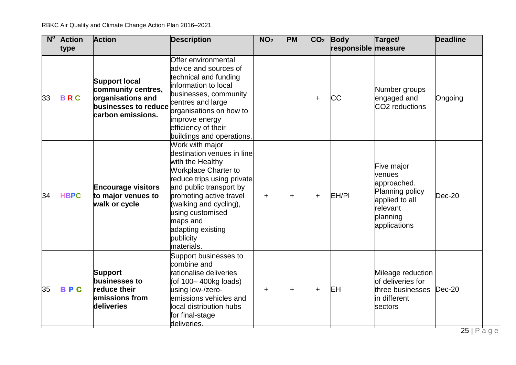| N <sup>o</sup> | <b>Action</b> | <b>Action</b>                                                                                                | <b>Description</b>                                                                                                                                                                                                                                                                             | NO <sub>2</sub> | <b>PM</b> | CO <sub>2</sub> | <b>Body</b>         | Target/                                                                                                          | <b>Deadline</b> |
|----------------|---------------|--------------------------------------------------------------------------------------------------------------|------------------------------------------------------------------------------------------------------------------------------------------------------------------------------------------------------------------------------------------------------------------------------------------------|-----------------|-----------|-----------------|---------------------|------------------------------------------------------------------------------------------------------------------|-----------------|
|                | type          |                                                                                                              |                                                                                                                                                                                                                                                                                                |                 |           |                 | responsible measure |                                                                                                                  |                 |
| 33             | <b>BRC</b>    | <b>Support local</b><br>community centres,<br>organisations and<br>businesses to reduce<br>carbon emissions. | Offer environmental<br>advice and sources of<br>technical and funding<br>information to local<br>businesses, community<br>centres and large<br>organisations on how to<br>improve energy<br>efficiency of their<br>buildings and operations.                                                   |                 |           | $\ddot{}$       | <b>CC</b>           | Number groups<br>engaged and<br>CO <sub>2</sub> reductions                                                       | Ongoing         |
| 34             | <b>HBPC</b>   | <b>Encourage visitors</b><br>to major venues to<br>walk or cycle                                             | Work with major<br>destination venues in line<br>with the Healthy<br><b>Workplace Charter to</b><br>reduce trips using private<br>and public transport by<br>promoting active travel<br>(walking and cycling),<br>using customised<br>maps and<br>adapting existing<br>publicity<br>materials. | $+$             | $\pm$     | $\ddot{}$       | EH/PI               | Five major<br>venues<br>approached.<br>Planning policy<br>applied to all<br>relevant<br>planning<br>applications | $Dec-20$        |
| 35             | BPC           | <b>Support</b><br>businesses to<br>reduce their<br>emissions from<br>deliveries                              | Support businesses to<br>combine and<br>rationalise deliveries<br>(of 100-400kg loads)<br>using low-/zero-<br>lemissions vehicles and<br>local distribution hubs<br>for final-stage<br>deliveries.                                                                                             | $\pm$           | $\pm$     | $\ddot{}$       | EH                  | Mileage reduction<br>of deliveries for<br>three businesses<br>in different<br>sectors                            | $Dec-20$        |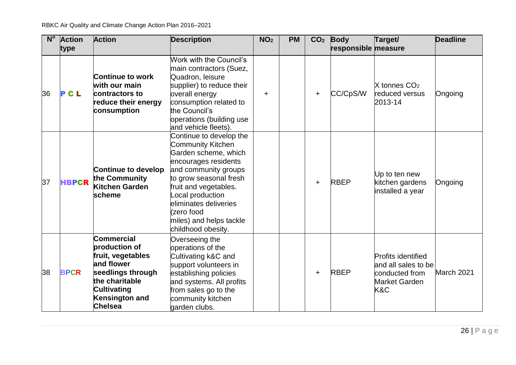| N <sup>o</sup> | <b>Action</b>  | <b>Action</b>                                                                                                                                                                 | <b>Description</b>                                                                                                                                                                                                                                                                   | NO <sub>2</sub> | <b>PM</b> | CO <sub>2</sub> | <b>Body</b><br>responsible <b>measure</b> | Target/                                                                                           | <b>Deadline</b> |
|----------------|----------------|-------------------------------------------------------------------------------------------------------------------------------------------------------------------------------|--------------------------------------------------------------------------------------------------------------------------------------------------------------------------------------------------------------------------------------------------------------------------------------|-----------------|-----------|-----------------|-------------------------------------------|---------------------------------------------------------------------------------------------------|-----------------|
|                | type           |                                                                                                                                                                               |                                                                                                                                                                                                                                                                                      |                 |           |                 |                                           |                                                                                                   |                 |
| 36             | C <sub>L</sub> | <b>Continue to work</b><br>with our main<br>contractors to<br>reduce their energy<br>consumption                                                                              | Work with the Council's<br>main contractors (Suez,<br>Quadron, leisure<br>supplier) to reduce their<br>overall energy<br>consumption related to<br>the Council's<br>operations (building use<br>and vehicle fleets).                                                                 | $\ddot{}$       |           | $\ddot{}$       | CC/CpS/W                                  | $X$ tonnes $CO2$<br>reduced versus<br>2013-14                                                     | Ongoing         |
| 37             | <b>HBPCR</b>   | <b>Continue to develop</b><br>the Community<br><b>Kitchen Garden</b><br>scheme                                                                                                | Continue to develop the<br>Community Kitchen<br>Garden scheme, which<br>encourages residents<br>and community groups<br>to grow seasonal fresh<br>fruit and vegetables.<br>Local production<br>leliminates deliveries<br>(zero food<br>miles) and helps tackle<br>childhood obesity. |                 |           | $+$             | <b>RBEP</b>                               | Up to ten new<br>kitchen gardens<br>installed a year                                              | Ongoing         |
| 38             | <b>BPCR</b>    | <b>Commercial</b><br>production of<br>fruit, vegetables<br>and flower<br>seedlings through<br>the charitable<br><b>Cultivating</b><br><b>Kensington and</b><br><b>Chelsea</b> | Overseeing the<br>operations of the<br>Cultivating k&C and<br>support volunteers in<br>establishing policies<br>and systems. All profits<br>from sales go to the<br>community kitchen<br>garden clubs.                                                                               |                 |           | $\ddot{}$       | <b>RBEP</b>                               | <b>Profits identified</b><br>and all sales to be<br>conducted from<br><b>Market Garden</b><br>K&C | March 2021      |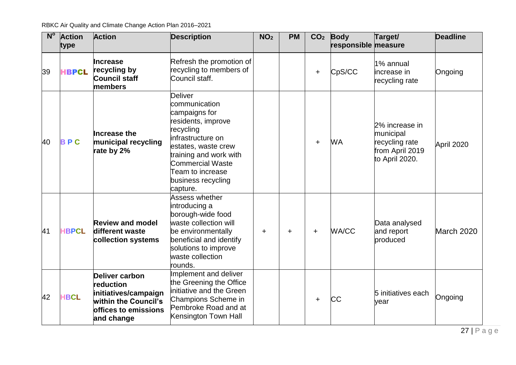RBKC Air Quality and Climate Change Action Plan 2016–2021

| $N^{\circ}$ | <b>Action</b><br>type | <b>Action</b>                                                                                                            | <b>Description</b>                                                                                                                                                                                                                  | NO <sub>2</sub> | <b>PM</b> | CO <sub>2</sub> | <b>Body</b><br>responsible measure | Target/                                                                            | <b>Deadline</b> |
|-------------|-----------------------|--------------------------------------------------------------------------------------------------------------------------|-------------------------------------------------------------------------------------------------------------------------------------------------------------------------------------------------------------------------------------|-----------------|-----------|-----------------|------------------------------------|------------------------------------------------------------------------------------|-----------------|
| 39          | <b>HBPCL</b>          | <b>Increase</b><br>recycling by<br><b>Council staff</b><br>members                                                       | Refresh the promotion of<br>recycling to members of<br>Council staff.                                                                                                                                                               |                 |           | ÷               | CpS/CC                             | 1% annual<br>increase in<br>recycling rate                                         | Ongoing         |
| 40          | <b>BPC</b>            | <b>Increase the</b><br>municipal recycling<br>rate by 2%                                                                 | <b>Deliver</b><br>communication<br>campaigns for<br>residents, improve<br>recycling<br>infrastructure on<br>estates, waste crew<br>training and work with<br>Commercial Waste<br>Team to increase<br>business recycling<br>capture. |                 |           | $\ddot{}$       | <b>WA</b>                          | 2% increase in<br>municipal<br>recycling rate<br>from April 2019<br>to April 2020. | April 2020      |
| 41          | <b>HBPCL</b>          | <b>Review and model</b><br>different waste<br>collection systems                                                         | Assess whether<br>introducing a<br>borough-wide food<br>waste collection will<br>be environmentally<br>beneficial and identify<br>solutions to improve<br>waste collection<br>rounds.                                               | $\ddot{}$       | $\pm$     | $\ddot{}$       | <b>WA/CC</b>                       | Data analysed<br>and report<br>produced                                            | March 2020      |
| 42          | <b>HBCL</b>           | <b>Deliver carbon</b><br>reduction<br>initiatives/campaign<br>within the Council's<br>offices to emissions<br>and change | Implement and deliver<br>the Greening the Office<br>initiative and the Green<br>Champions Scheme in<br>Pembroke Road and at<br>Kensington Town Hall                                                                                 |                 |           | $\ddot{}$       | <b>CC</b>                          | 5 initiatives each<br>vear                                                         | Ongoing         |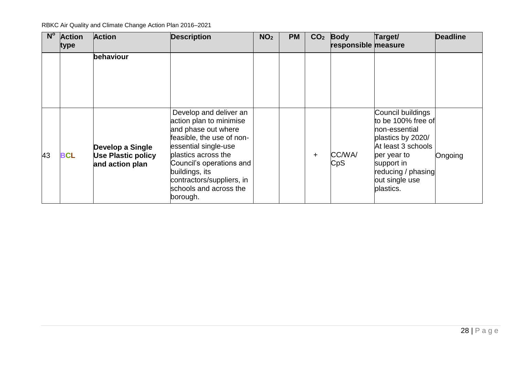RBKC Air Quality and Climate Change Action Plan 2016–2021

| $N^{\circ}$ | <b>Action</b><br>type | <b>Action</b>                                                    | <b>Description</b>                                                                                                                                                                                                                                                    | NO <sub>2</sub> | <b>PM</b> | CO <sub>2</sub> | <b>Body</b><br>responsible measure | Target/                                                                                                                                                                               | <b>Deadline</b> |
|-------------|-----------------------|------------------------------------------------------------------|-----------------------------------------------------------------------------------------------------------------------------------------------------------------------------------------------------------------------------------------------------------------------|-----------------|-----------|-----------------|------------------------------------|---------------------------------------------------------------------------------------------------------------------------------------------------------------------------------------|-----------------|
|             |                       | behaviour                                                        |                                                                                                                                                                                                                                                                       |                 |           |                 |                                    |                                                                                                                                                                                       |                 |
| 43          | <b>BCL</b>            | Develop a Single<br><b>Use Plastic policy</b><br>and action plan | Develop and deliver an<br>action plan to minimise<br>and phase out where<br>feasible, the use of non-<br>essential single-use<br>plastics across the<br>Council's operations and<br>buildings, its<br>contractors/suppliers, in<br>schools and across the<br>borough. |                 |           | $\ddot{}$       | CC/WA/<br>CpS                      | Council buildings<br>to be 100% free of<br>non-essential<br>plastics by 2020/<br>At least 3 schools<br>per year to<br>support in<br>reducing / phasing<br>out single use<br>plastics. | Ongoing         |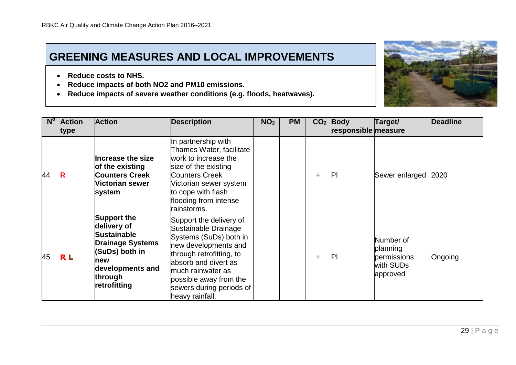### **GREENING MEASURES AND LOCAL IMPROVEMENTS**

- **Reduce costs to NHS.**
- **Reduce impacts of both NO2 and PM10 emissions.**
- **Reduce impacts of severe weather conditions (e.g. floods, heatwaves).**



<span id="page-29-0"></span>

| $N^{\circ}$ | <b>Action</b><br>type | <b>Action</b>                                                                                                                                              | <b>Description</b>                                                                                                                                                                                                                                  | NO <sub>2</sub> | <b>PM</b> |           | $CO2$ Body<br>responsible measure | Target/                                                       | <b>Deadline</b> |
|-------------|-----------------------|------------------------------------------------------------------------------------------------------------------------------------------------------------|-----------------------------------------------------------------------------------------------------------------------------------------------------------------------------------------------------------------------------------------------------|-----------------|-----------|-----------|-----------------------------------|---------------------------------------------------------------|-----------------|
| 44          |                       | Increase the size<br>of the existing<br><b>Counters Creek</b><br><b>Nictorian sewer</b><br>system                                                          | In partnership with<br>Thames Water, facilitate<br>work to increase the<br>size of the existing<br><b>Counters Creek</b><br>Victorian sewer system<br>to cope with flash<br>flooding from intense<br>rainstorms.                                    |                 |           | $\pm$     | $\mathsf{P}$                      | Sewer enlarged 2020                                           |                 |
| 45          | R L                   | <b>Support the</b><br>delivery of<br><b>Sustainable</b><br><b>Drainage Systems</b><br>(SuDs) both in<br>new<br>developments and<br>through<br>retrofitting | Support the delivery of<br>Sustainable Drainage<br>Systems (SuDs) both in<br>new developments and<br>through retrofitting, to<br>absorb and divert as<br>much rainwater as<br>possible away from the<br>sewers during periods of<br>heavy rainfall. |                 |           | $\ddot{}$ | P1                                | Number of<br>planning<br>permissions<br>with SUDs<br>approved | Ongoing         |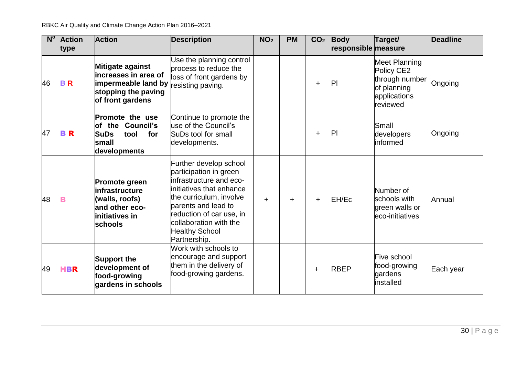| $N^{\circ}$ | <b>Action</b><br>type | <b>Action</b>                                                                                                     | <b>Description</b>                                                                                                                                                                                                                                       | NO <sub>2</sub> | <b>PM</b> | CO <sub>2</sub> | <b>Body</b><br>responsible measure | Target/                                                                                  | <b>Deadline</b> |
|-------------|-----------------------|-------------------------------------------------------------------------------------------------------------------|----------------------------------------------------------------------------------------------------------------------------------------------------------------------------------------------------------------------------------------------------------|-----------------|-----------|-----------------|------------------------------------|------------------------------------------------------------------------------------------|-----------------|
| 46          | <b>BR</b>             | <b>Mitigate against</b><br>increases in area of<br>impermeable land by<br>stopping the paving<br>of front gardens | Use the planning control<br>process to reduce the<br>loss of front gardens by<br>resisting paving.                                                                                                                                                       |                 |           | $\ddot{}$       | P                                  | Meet Planning<br>Policy CE2<br>through number<br>of planning<br>applications<br>reviewed | Ongoing         |
| 47          | R                     | <b>Promote the use</b><br>the Council's<br><b>of</b><br><b>SuDs</b><br>for<br>tool<br>small<br>developments       | Continue to promote the<br>use of the Council's<br>SuDs tool for small<br>developments.                                                                                                                                                                  |                 |           | ÷               | $\mathsf{P}$                       | Small<br>developers<br>informed                                                          | Ongoing         |
| 48          |                       | Promote green<br>infrastructure<br>(walls, roofs)<br>and other eco-<br>initiatives in<br>schools                  | Further develop school<br>participation in green<br>infrastructure and eco-<br>initiatives that enhance<br>the curriculum, involve<br>barents and lead to<br>reduction of car use, in<br>collaboration with the<br><b>Healthy School</b><br>Partnership. | $\ddot{}$       | $\ddot{}$ | $\pm$           | EH/Ec                              | Number of<br>schools with<br>green walls or<br>eco-initiatives                           | Annual          |
| 49          | HBR                   | <b>Support the</b><br>development of<br>food-growing<br>gardens in schools                                        | Work with schools to<br>encourage and support<br>them in the delivery of<br>food-growing gardens.                                                                                                                                                        |                 |           | ÷               | <b>RBEP</b>                        | Five school<br>food-growing<br>gardens<br>installed                                      | Each year       |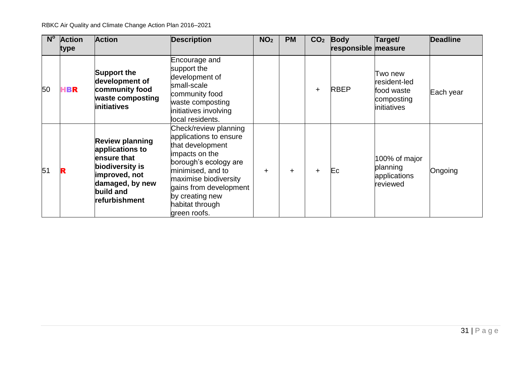| $N^{\circ}$ | <b>Action</b><br>type | <b>Action</b>                                                                                                                                 | <b>Description</b>                                                                                                                                                                                                                           | NO <sub>2</sub> | <b>PM</b> | CO <sub>2</sub> | <b>Body</b><br>responsible measure | Target/                                                            | <b>Deadline</b> |
|-------------|-----------------------|-----------------------------------------------------------------------------------------------------------------------------------------------|----------------------------------------------------------------------------------------------------------------------------------------------------------------------------------------------------------------------------------------------|-----------------|-----------|-----------------|------------------------------------|--------------------------------------------------------------------|-----------------|
| 50          | 1BR                   | <b>Support the</b><br>development of<br>community food<br>waste composting<br>initiatives                                                     | Encourage and<br>support the<br>development of<br>small-scale<br>community food<br>waste composting<br>initiatives involving<br>local residents.                                                                                             |                 |           | ÷               | <b>RBEP</b>                        | Two new<br>resident-led<br>food waste<br>composting<br>initiatives | Each year       |
| 51          |                       | <b>Review planning</b><br>applications to<br>ensure that<br>biodiversity is<br>improved, not<br>damaged, by new<br>build and<br>refurbishment | Check/review planning<br>applications to ensure<br>that development<br>impacts on the<br>borough's ecology are<br>minimised, and to<br>maximise biodiversity<br>gains from development<br>by creating new<br>habitat through<br>green roofs. | $\ddot{}$       | $\ddot{}$ | $\ddot{}$       | Ec                                 | 100% of major<br>planning<br>applications<br>reviewed              | Ongoing         |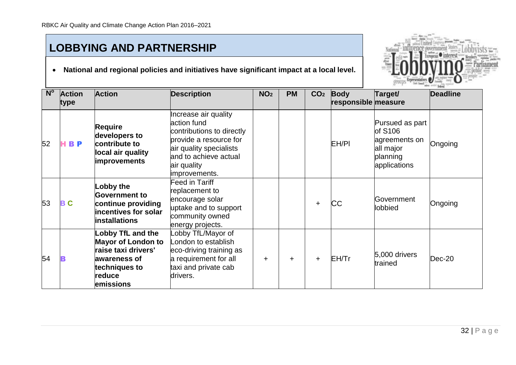### **LOBBYING AND PARTNERSHIP**

**National and regional policies and initiatives have significant impact at a local level.**



<span id="page-32-0"></span>

| $N^{\circ}$ | <b>Action</b><br>type | <b>Action</b>                                                                                                                 | <b>Description</b>                                                                                                                                                             | NO <sub>2</sub> | <b>PM</b> | CO <sub>2</sub> | <b>Body</b><br>responsible measure | Target/                                                                              | <b>Deadline</b> |
|-------------|-----------------------|-------------------------------------------------------------------------------------------------------------------------------|--------------------------------------------------------------------------------------------------------------------------------------------------------------------------------|-----------------|-----------|-----------------|------------------------------------|--------------------------------------------------------------------------------------|-----------------|
| 52          | <b>BP</b>             | <b>Require</b><br>developers to<br>contribute to<br>local air quality<br><i>improvements</i>                                  | Increase air quality<br>action fund<br>contributions to directly<br>provide a resource for<br>air quality specialists<br>and to achieve actual<br>air quality<br>improvements. |                 |           |                 | EH/PI                              | Pursued as part<br>of S106<br>agreements on<br>all major<br>planning<br>applications | Ongoing         |
| 53          | ВC                    | Lobby the<br><b>Government to</b><br>continue providing<br>incentives for solar<br><b>installations</b>                       | <b>Feed in Tariff</b><br>replacement to<br>encourage solar<br>uptake and to support<br>community owned<br>energy projects.                                                     |                 |           | $\ddot{}$       | СC                                 | Government<br>lobbied                                                                | Ongoing         |
| 54          |                       | Lobby TfL and the<br><b>Mayor of London to</b><br>raise taxi drivers'<br>awareness of<br>techniques to<br>reduce<br>emissions | Lobby TfL/Mayor of<br>London to establish<br>eco-driving training as<br>a requirement for all<br>taxi and private cab<br>drivers.                                              | $\ddot{}$       | $\ddot{}$ | $\pm$           | EH/Tr                              | $5,000$ drivers<br>trained                                                           | $Dec-20$        |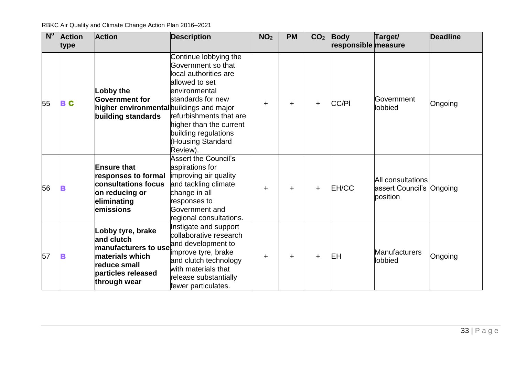| N <sup>o</sup> | <b>Action</b><br>type | <b>Action</b>                                                                                                                                       | <b>Description</b>                                                                                                                                                                                                                           | NO <sub>2</sub> | <b>PM</b> | CO <sub>2</sub> | <b>Body</b><br>responsible measure | Target/                                                   | <b>Deadline</b> |
|----------------|-----------------------|-----------------------------------------------------------------------------------------------------------------------------------------------------|----------------------------------------------------------------------------------------------------------------------------------------------------------------------------------------------------------------------------------------------|-----------------|-----------|-----------------|------------------------------------|-----------------------------------------------------------|-----------------|
| 55             | ВC                    | Lobby the<br><b>Government for</b><br>higher environmental buildings and major<br>building standards                                                | Continue lobbying the<br>Government so that<br>local authorities are<br>allowed to set<br>lenvironmental<br>standards for new<br>refurbishments that are<br>higher than the current<br>building regulations<br>(Housing Standard<br>Review). | $\pm$           | $\ddot{}$ | $\pm$           | CC/PI                              | Government<br>lobbied                                     | Ongoing         |
| 56             |                       | <b>Ensure that</b><br>responses to formal<br>consultations focus<br>on reducing or<br>eliminating<br>emissions                                      | <b>Assert the Council's</b><br>aspirations for<br>improving air quality<br>and tackling climate<br>change in all<br>responses to<br>Government and<br>regional consultations.                                                                | $\pm$           | $\ddot{}$ | $\pm$           | EH/CC                              | All consultations<br>assert Council's Ongoing<br>position |                 |
| 57             |                       | Lobby tyre, brake<br>and clutch<br>manufacturers to use and development to<br>materials which<br>reduce small<br>particles released<br>through wear | Instigate and support<br>collaborative research<br>improve tyre, brake<br>and clutch technology<br>with materials that<br>release substantially<br>fewer particulates.                                                                       | ÷               | ÷         | $\pm$           | EH                                 | <b>Manufacturers</b><br>lobbied                           | Ongoing         |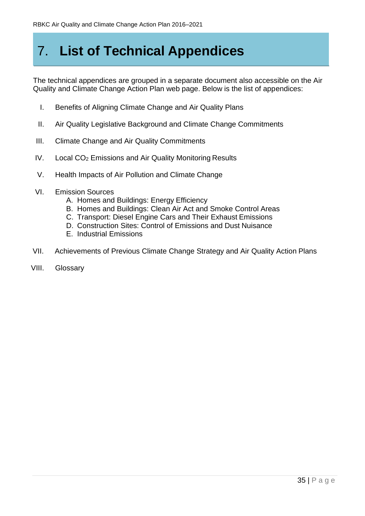## 7. **List of Technical Appendices**

The technical appendices are grouped in a separate document also accessible on the Air Quality and Climate Change Action Plan web page. Below is the list of appendices:

- I. Benefits of Aligning Climate Change and Air Quality Plans
- II. Air Quality Legislative Background and Climate Change Commitments
- III. Climate Change and Air Quality Commitments
- IV. Local CO<sup>2</sup> Emissions and Air Quality Monitoring Results
- V. Health Impacts of Air Pollution and Climate Change
- VI. Emission Sources
	- A. Homes and Buildings: Energy Efficiency
	- B. Homes and Buildings: Clean Air Act and Smoke Control Areas
	- C. Transport: Diesel Engine Cars and Their Exhaust Emissions
	- D. Construction Sites: Control of Emissions and Dust Nuisance
	- E. Industrial Emissions
- VII. Achievements of Previous Climate Change Strategy and Air Quality Action Plans
- VIII. Glossary